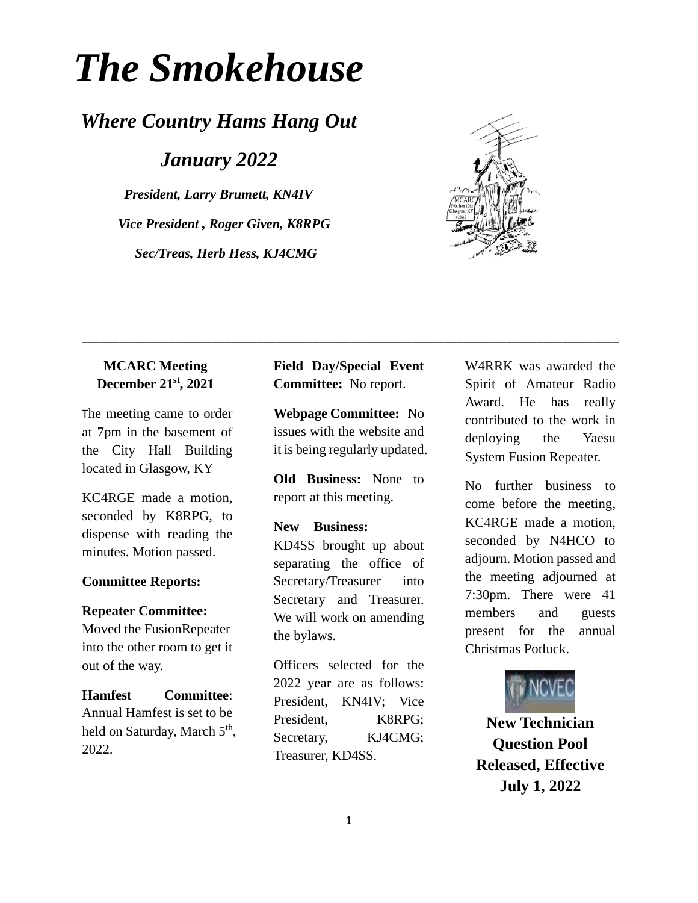# *The Smokehouse*

# *Where Country Hams Hang Out*

*January 2022*

*President, Larry Brumett, KN4IV Vice President , Roger Given, K8RPG Sec/Treas, Herb Hess, KJ4CMG*

## **MCARC Meeting December 21st, 2021**

The meeting came to order at 7pm in the basement of the City Hall Building located in Glasgow, KY

KC4RGE made a motion, seconded by K8RPG, to dispense with reading the minutes. Motion passed.

### **Committee Reports:**

#### **Repeater Committee:**

Moved the FusionRepeater into the other room to get it out of the way.

**Hamfest Committee**: Annual Hamfest is set to be held on Saturday, March 5<sup>th</sup>, 2022.

**Field Day/Special Event Committee:** No report.

\_\_\_\_\_\_\_\_\_\_\_\_\_\_\_\_\_\_\_\_\_\_\_\_\_\_\_\_\_\_\_\_\_\_\_\_\_\_\_\_\_\_\_\_\_\_\_\_\_\_\_\_\_\_\_\_\_\_\_\_\_\_\_\_\_\_\_\_\_\_\_\_\_\_\_\_\_\_\_\_\_\_\_\_\_\_

**Webpage Committee:** No issues with the website and it is being regularly updated.

**Old Business:** None to report at this meeting.

## **New Business:**

KD4SS brought up about separating the office of Secretary/Treasurer into Secretary and Treasurer. We will work on amending the bylaws.

Officers selected for the 2022 year are as follows: President, KN4IV; Vice President, K8RPG; Secretary, KJ4CMG; Treasurer, KD4SS.

W4RRK was awarded the Spirit of Amateur Radio Award. He has really contributed to the work in deploying the Yaesu System Fusion Repeater.

No further business to come before the meeting, KC4RGE made a motion, seconded by N4HCO to adjourn. Motion passed and the meeting adjourned at 7:30pm. There were 41 members and guests present for the annual Christmas Potluck.



**New Technician Question Pool Released, Effective July 1, 2022**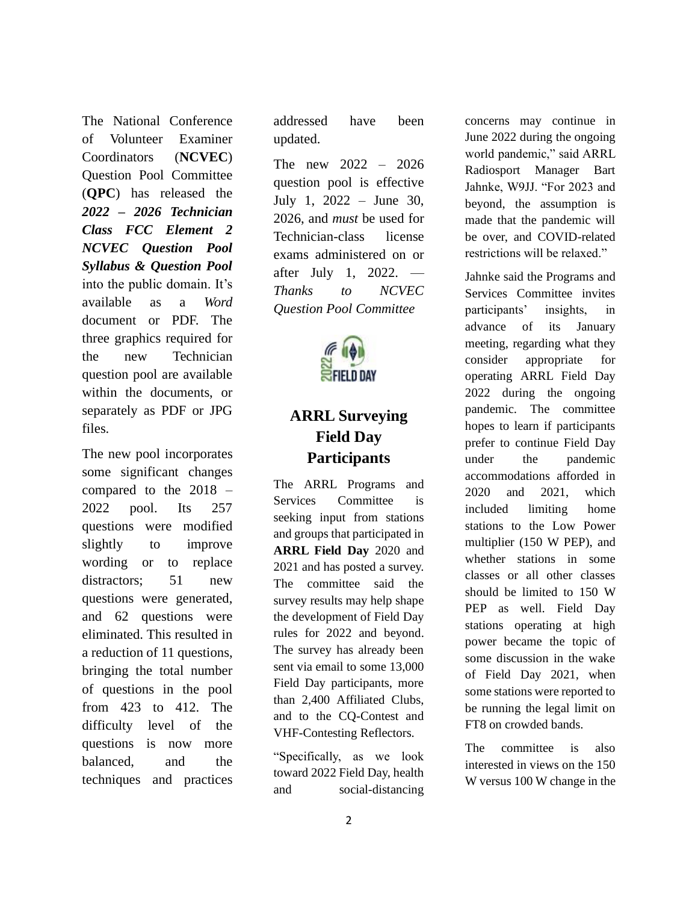The National Conference of Volunteer Examiner Coordinators (**[NCVEC](http://www.ncvec.org/)**) Question Pool Committee (**[QPC](http://www.ncvec.org/page.php?id=333)**) has released the *2022 – [2026 Technician](http://www.ncvec.org/page.php?id=373)  [Class FCC Element 2](http://www.ncvec.org/page.php?id=373)  [NCVEC Question Pool](http://www.ncvec.org/page.php?id=373)  [Syllabus & Question Pool](http://www.ncvec.org/page.php?id=373)* into the public domain. It's available as a *Word* document or PDF. The three graphics required for the new Technician question pool are available within the documents, or separately as PDF or JPG files.

The new pool incorporates some significant changes compared to the 2018 – 2022 pool. Its 257 questions were modified slightly to improve wording or to replace distractors; 51 new questions were generated, and 62 questions were eliminated. This resulted in a reduction of 11 questions, bringing the total number of questions in the pool from 423 to 412. The difficulty level of the questions is now more balanced, and the techniques and practices addressed have been updated.

The new 2022 – 2026 question pool is effective July 1, 2022 – June 30, 2026, and *must* be used for Technician-class license exams administered on or after July 1, 2022. — *Thanks to NCVEC Question Pool Committee*



## **ARRL Surveying Field Day Participants**

The ARRL Programs and Services Committee is seeking input from stations and groups that participated in **[ARRL Field Day](http://www.arrl.org/field-day)** 2020 and 2021 and has posted a survey. The committee said the survey results may help shape the development of Field Day rules for 2022 and beyond. The survey has already been sent via email to some 13,000 Field Day participants, more than 2,400 Affiliated Clubs, and to the CQ-Contest and VHF-Contesting Reflectors.

"Specifically, as we look toward 2022 Field Day, health and social-distancing

concerns may continue in June 2022 during the ongoing world pandemic," said ARRL Radiosport Manager Bart Jahnke, W9JJ. "For 2023 and beyond, the assumption is made that the pandemic will be over, and COVID-related restrictions will be relaxed."

Jahnke said the Programs and Services Committee invites participants' insights, in advance of its January meeting, regarding what they consider appropriate for operating ARRL Field Day 2022 during the ongoing pandemic. The committee hopes to learn if participants prefer to continue Field Day under the pandemic accommodations afforded in 2020 and 2021, which included limiting home stations to the Low Power multiplier (150 W PEP), and whether stations in some classes or all other classes should be limited to 150 W PEP as well. Field Day stations operating at high power became the topic of some discussion in the wake of Field Day 2021, when some stations were reported to be running the legal limit on FT8 on crowded bands.

The committee is also interested in views on the 150 W versus 100 W change in the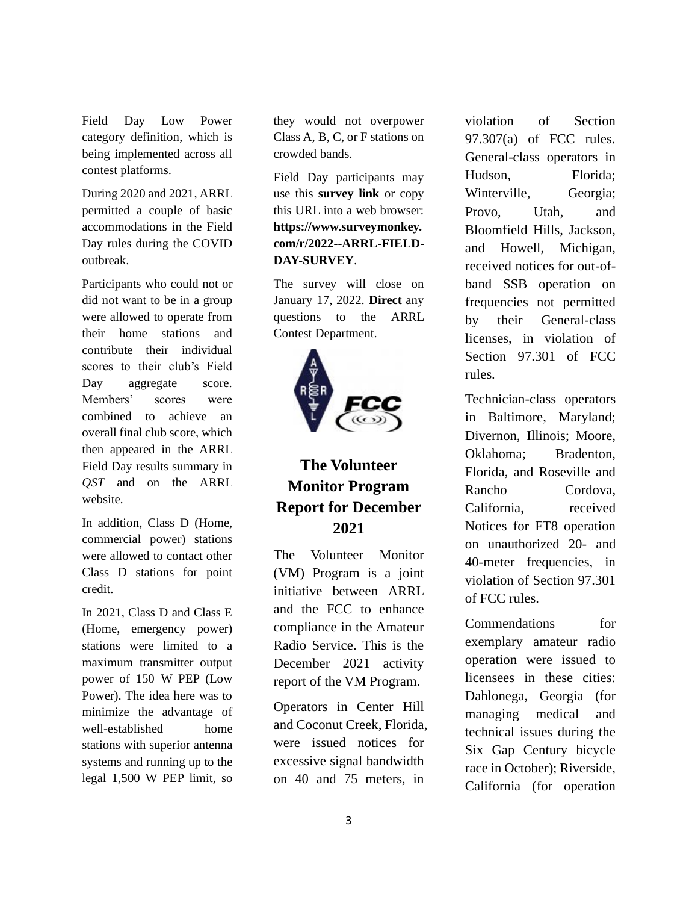Field Day Low Power category definition, which is being implemented across all contest platforms.

During 2020 and 2021, ARRL permitted a couple of basic accommodations in the Field Day rules during the COVID outbreak.

Participants who could not or did not want to be in a group were allowed to operate from their home stations and contribute their individual scores to their club's Field Day aggregate score. Members' scores were combined to achieve an overall final club score, which then appeared in the ARRL Field Day results summary in *QST* and on the ARRL website.

In addition, Class D (Home, commercial power) stations were allowed to contact other Class D stations for point credit.

In 2021, Class D and Class E (Home, emergency power) stations were limited to a maximum transmitter output power of 150 W PEP (Low Power). The idea here was to minimize the advantage of well-established home stations with superior antenna systems and running up to the legal 1,500 W PEP limit, so

they would not overpower Class A, B, C, or F stations on crowded bands.

Field Day participants may use this **[survey link](https://www.surveymonkey.com/r/2022--ARRL-FIELD-DAY-SURVEY)** or copy this URL into a web browser: **[https://www.surveymonkey.](https://www.surveymonkey.com/r/2022--ARRL-FIELD-DAY-SURVEY) [com/r/2022--ARRL-FIELD-](https://www.surveymonkey.com/r/2022--ARRL-FIELD-DAY-SURVEY)[DAY-SURVEY](https://www.surveymonkey.com/r/2022--ARRL-FIELD-DAY-SURVEY)**.

The survey will close on January 17, 2022. **[Direct](mailto:contests@arrl.org)** any questions to the ARRL Contest Department.



# **The Volunteer Monitor Program Report for December 2021**

The Volunteer Monitor (VM) Program is a joint initiative between ARRL and the FCC to enhance compliance in the Amateur Radio Service. This is the December 2021 activity report of the VM Program.

Operators in Center Hill and Coconut Creek, Florida, were issued notices for excessive signal bandwidth on 40 and 75 meters, in

violation of Section 97.307(a) of FCC rules. General-class operators in Hudson, Florida; Winterville, Georgia; Provo, Utah, and Bloomfield Hills, Jackson, and Howell, Michigan, received notices for out-ofband SSB operation on frequencies not permitted by their General-class licenses, in violation of Section 97.301 of FCC rules.

Technician-class operators in Baltimore, Maryland; Divernon, Illinois; Moore, Oklahoma; Bradenton, Florida, and Roseville and Rancho Cordova, California, received Notices for FT8 operation on unauthorized 20- and 40-meter frequencies, in violation of Section 97.301 of FCC rules.

Commendations for exemplary amateur radio operation were issued to licensees in these cities: Dahlonega, Georgia (for managing medical and technical issues during the Six Gap Century bicycle race in October); Riverside, California (for operation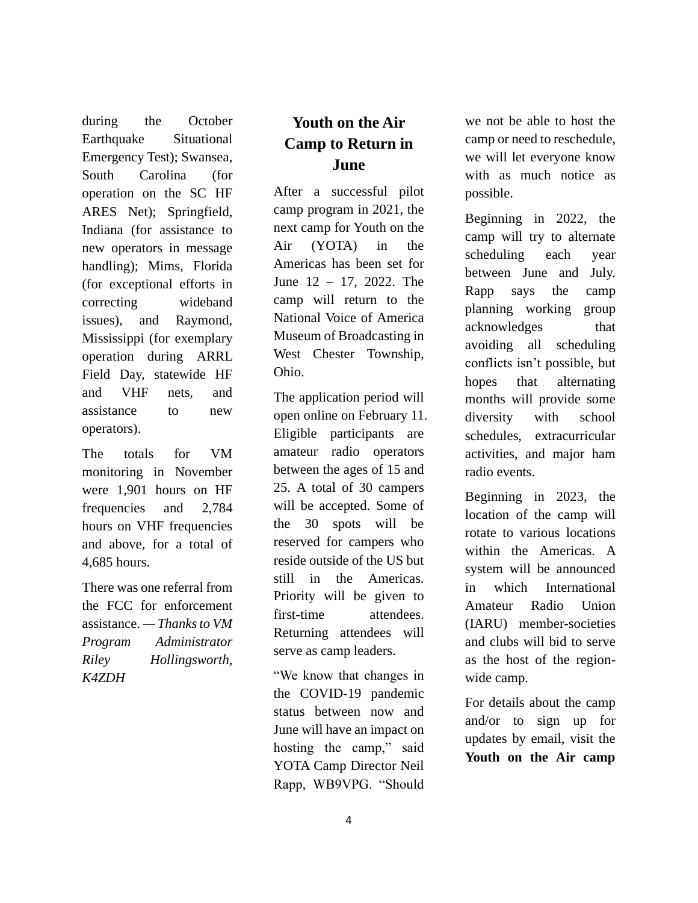during the October Earthquake Situational Emergency Test); Swansea, South Carolina (for operation on the SC HF ARES Net); Springfield, Indiana (for assistance to new operators in message handling); Mims, Florida (for exceptional efforts in correcting wideband issues), and Raymond, Mississippi (for exemplary operation during ARRL Field Day, statewide HF and VHF nets, and assistance to new operators).

The totals for VM monitoring in November were 1,901 hours on HF frequencies and 2,784 hours on VHF frequencies and above, for a total of 4,685 hours.

There was one referral from the FCC for enforcement assistance. *— Thanks to VM Program Administrator Riley Hollingsworth, K4ZDH*

## **Youth on the Air Camp to Return in June**

After a successful pilot camp program in 2021, the next camp for Youth on the Air (YOTA) in the Americas has been set for June 12 – 17, 2022. The camp will return to the National Voice of America Museum of Broadcasting in West Chester Township, Ohio.

The application period will open online on February 11. Eligible participants are amateur radio operators between the ages of 15 and 25. A total of 30 campers will be accepted. Some of the 30 spots will be reserved for campers who reside outside of the US but still in the Americas. Priority will be given to first-time attendees. Returning attendees will serve as camp leaders.

"We know that changes in the COVID-19 pandemic status between now and June will have an impact on hosting the camp," said YOTA Camp Director Neil Rapp, WB9VPG. "Should we not be able to host the camp or need to reschedule, we will let everyone know with as much notice as possible.

Beginning in 2022, the camp will try to alternate scheduling each year between June and July. Rapp says the camp planning working group acknowledges that avoiding all scheduling conflicts isn't possible, but hopes that alternating months will provide some diversity with school schedules, extracurricular activities, and major ham radio events.

Beginning in 2023, the location of the camp will rotate to various locations within the Americas. A system will be announced in which International Amateur Radio Union (IARU) member-societies and clubs will bid to serve as the host of the regionwide camp.

For details about the camp and/or to sign up for updates by email, visit the **[Youth on the Air camp](https://youthontheair.org/cincinnati-2022-copy/)**